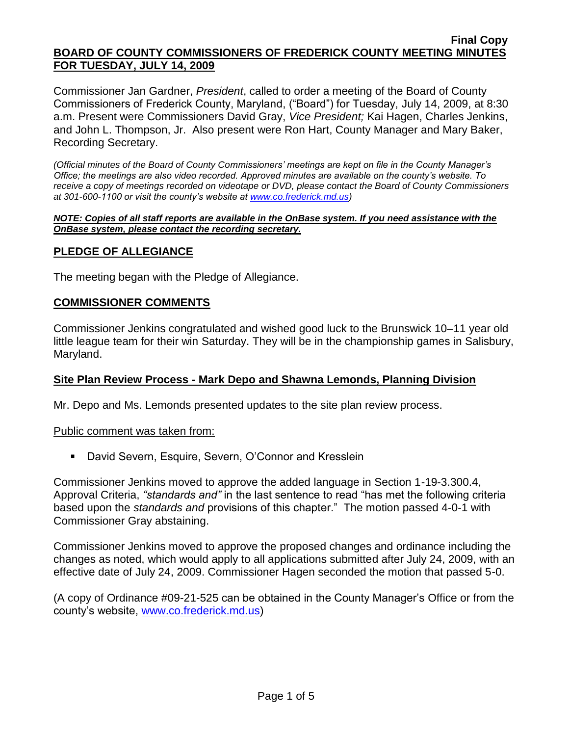#### **Final Copy BOARD OF COUNTY COMMISSIONERS OF FREDERICK COUNTY MEETING MINUTES FOR TUESDAY, JULY 14, 2009**

Commissioner Jan Gardner, *President*, called to order a meeting of the Board of County Commissioners of Frederick County, Maryland, ("Board") for Tuesday, July 14, 2009, at 8:30 a.m. Present were Commissioners David Gray, *Vice President;* Kai Hagen, Charles Jenkins, and John L. Thompson, Jr. Also present were Ron Hart, County Manager and Mary Baker, Recording Secretary.

*(Official minutes of the Board of County Commissioners' meetings are kept on file in the County Manager's Office; the meetings are also video recorded. Approved minutes are available on the county's website. To receive a copy of meetings recorded on videotape or DVD, please contact the Board of County Commissioners at 301-600-1100 or visit the county's website at [www.co.frederick.md.us\)](http://www.co.frederick.md.us/)*

#### *NOTE: Copies of all staff reports are available in the OnBase system. If you need assistance with the OnBase system, please contact the recording secretary.*

### **PLEDGE OF ALLEGIANCE**

The meeting began with the Pledge of Allegiance.

### **COMMISSIONER COMMENTS**

Commissioner Jenkins congratulated and wished good luck to the Brunswick 10–11 year old little league team for their win Saturday. They will be in the championship games in Salisbury, Maryland.

### **Site Plan Review Process - Mark Depo and Shawna Lemonds, Planning Division**

Mr. Depo and Ms. Lemonds presented updates to the site plan review process.

#### Public comment was taken from:

David Severn, Esquire, Severn, O'Connor and Kresslein

Commissioner Jenkins moved to approve the added language in Section 1-19-3.300.4, Approval Criteria, *"standards and"* in the last sentence to read "has met the following criteria based upon the *standards and* provisions of this chapter." The motion passed 4-0-1 with Commissioner Gray abstaining.

Commissioner Jenkins moved to approve the proposed changes and ordinance including the changes as noted, which would apply to all applications submitted after July 24, 2009, with an effective date of July 24, 2009. Commissioner Hagen seconded the motion that passed 5-0.

(A copy of Ordinance #09-21-525 can be obtained in the County Manager's Office or from the county's website, [www.co.frederick.md.us\)](www.co.frederick.md.us)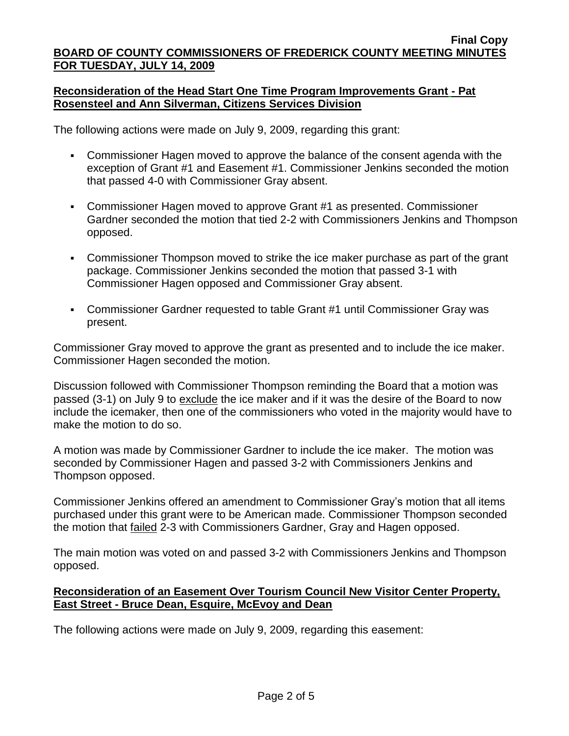### **Reconsideration of the Head Start One Time Program Improvements Grant - Pat Rosensteel and Ann Silverman, Citizens Services Division**

The following actions were made on July 9, 2009, regarding this grant:

- Commissioner Hagen moved to approve the balance of the consent agenda with the exception of Grant #1 and Easement #1. Commissioner Jenkins seconded the motion that passed 4-0 with Commissioner Gray absent.
- Commissioner Hagen moved to approve Grant #1 as presented. Commissioner Gardner seconded the motion that tied 2-2 with Commissioners Jenkins and Thompson opposed.
- Commissioner Thompson moved to strike the ice maker purchase as part of the grant package. Commissioner Jenkins seconded the motion that passed 3-1 with Commissioner Hagen opposed and Commissioner Gray absent.
- Commissioner Gardner requested to table Grant #1 until Commissioner Gray was present.

Commissioner Gray moved to approve the grant as presented and to include the ice maker. Commissioner Hagen seconded the motion.

Discussion followed with Commissioner Thompson reminding the Board that a motion was passed (3-1) on July 9 to exclude the ice maker and if it was the desire of the Board to now include the icemaker, then one of the commissioners who voted in the majority would have to make the motion to do so.

A motion was made by Commissioner Gardner to include the ice maker. The motion was seconded by Commissioner Hagen and passed 3-2 with Commissioners Jenkins and Thompson opposed.

Commissioner Jenkins offered an amendment to Commissioner Gray's motion that all items purchased under this grant were to be American made. Commissioner Thompson seconded the motion that failed 2-3 with Commissioners Gardner, Gray and Hagen opposed.

The main motion was voted on and passed 3-2 with Commissioners Jenkins and Thompson opposed.

### **Reconsideration of an Easement Over Tourism Council New Visitor Center Property, East Street - Bruce Dean, Esquire, McEvoy and Dean**

The following actions were made on July 9, 2009, regarding this easement: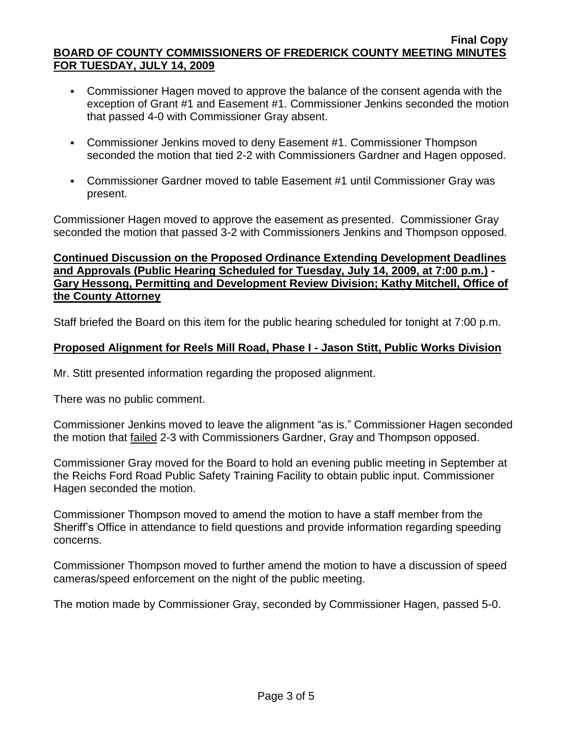- Commissioner Hagen moved to approve the balance of the consent agenda with the exception of Grant #1 and Easement #1. Commissioner Jenkins seconded the motion that passed 4-0 with Commissioner Gray absent.
- Commissioner Jenkins moved to deny Easement #1. Commissioner Thompson seconded the motion that tied 2-2 with Commissioners Gardner and Hagen opposed.
- Commissioner Gardner moved to table Easement #1 until Commissioner Gray was present.

Commissioner Hagen moved to approve the easement as presented. Commissioner Gray seconded the motion that passed 3-2 with Commissioners Jenkins and Thompson opposed.

### **Continued Discussion on the Proposed Ordinance Extending Development Deadlines and Approvals (Public Hearing Scheduled for Tuesday, July 14, 2009, at 7:00 p.m.) - Gary Hessong, Permitting and Development Review Division; Kathy Mitchell, Office of the County Attorney**

Staff briefed the Board on this item for the public hearing scheduled for tonight at 7:00 p.m.

# **Proposed Alignment for Reels Mill Road, Phase I - Jason Stitt, Public Works Division**

Mr. Stitt presented information regarding the proposed alignment.

There was no public comment.

Commissioner Jenkins moved to leave the alignment "as is." Commissioner Hagen seconded the motion that failed 2-3 with Commissioners Gardner, Gray and Thompson opposed.

Commissioner Gray moved for the Board to hold an evening public meeting in September at the Reichs Ford Road Public Safety Training Facility to obtain public input. Commissioner Hagen seconded the motion.

Commissioner Thompson moved to amend the motion to have a staff member from the Sheriff's Office in attendance to field questions and provide information regarding speeding concerns.

Commissioner Thompson moved to further amend the motion to have a discussion of speed cameras/speed enforcement on the night of the public meeting.

The motion made by Commissioner Gray, seconded by Commissioner Hagen, passed 5-0.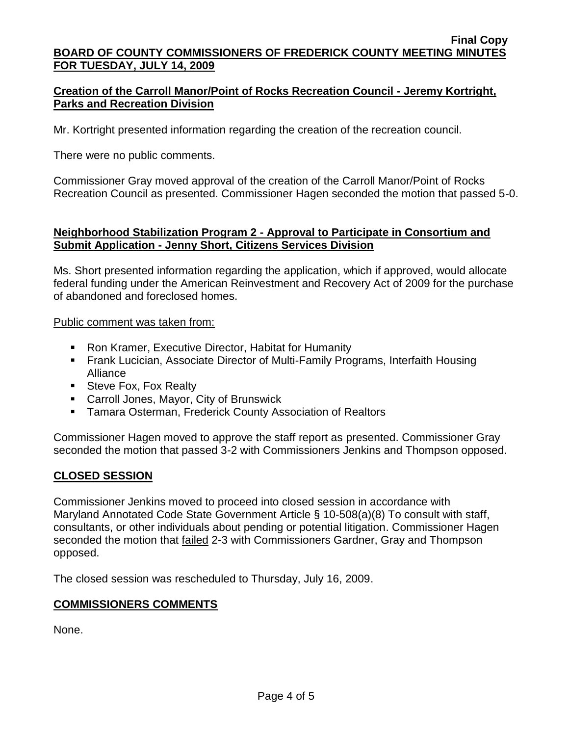# **Creation of the Carroll Manor/Point of Rocks Recreation Council - Jeremy Kortright, Parks and Recreation Division**

Mr. Kortright presented information regarding the creation of the recreation council.

There were no public comments.

Commissioner Gray moved approval of the creation of the Carroll Manor/Point of Rocks Recreation Council as presented. Commissioner Hagen seconded the motion that passed 5-0.

### **Neighborhood Stabilization Program 2 - Approval to Participate in Consortium and Submit Application - Jenny Short, Citizens Services Division**

Ms. Short presented information regarding the application, which if approved, would allocate federal funding under the American Reinvestment and Recovery Act of 2009 for the purchase of abandoned and foreclosed homes.

Public comment was taken from:

- **Ron Kramer, Executive Director, Habitat for Humanity**
- Frank Lucician, Associate Director of Multi-Family Programs, Interfaith Housing Alliance
- Steve Fox, Fox Realty
- Carroll Jones, Mayor, City of Brunswick
- **Tamara Osterman, Frederick County Association of Realtors**

Commissioner Hagen moved to approve the staff report as presented. Commissioner Gray seconded the motion that passed 3-2 with Commissioners Jenkins and Thompson opposed.

# **CLOSED SESSION**

Commissioner Jenkins moved to proceed into closed session in accordance with Maryland Annotated Code State Government Article § 10-508(a)(8) To consult with staff, consultants, or other individuals about pending or potential litigation. Commissioner Hagen seconded the motion that failed 2-3 with Commissioners Gardner, Gray and Thompson opposed.

The closed session was rescheduled to Thursday, July 16, 2009.

### **COMMISSIONERS COMMENTS**

None.